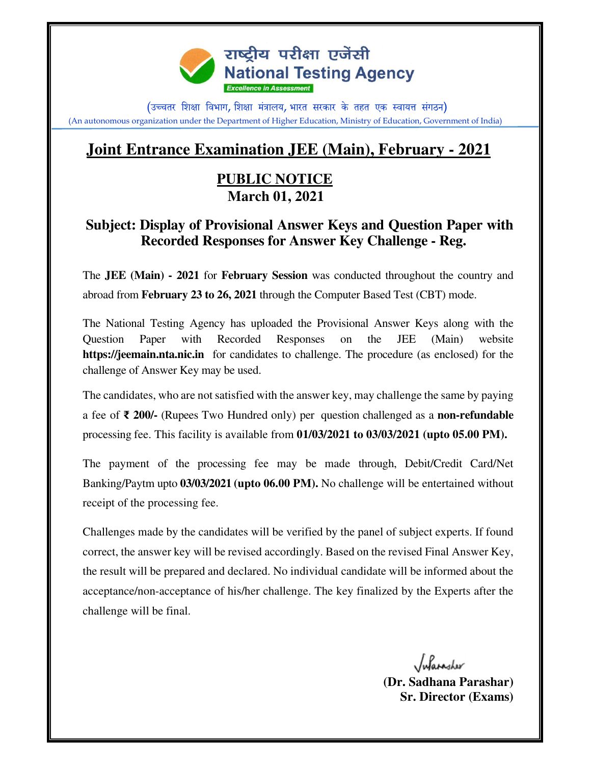

(उच्चतर शिक्षा विभाग, शिक्षा मंत्रालय, भारत सरकार के तहत एक स्वायत्त संगठन) (An autonomous organization under the Department of Higher Education, Ministry of Education, Government of India)

## **Joint Entrance Examination JEE (Main), February - 2021**

## **PUBLIC NOTICE March 01, 2021**

## **Subject: Display of Provisional Answer Keys and Question Paper with Recorded Responses for Answer Key Challenge - Reg.**

The **JEE (Main) - 2021** for **February Session** was conducted throughout the country and abroad from **February 23 to 26, 2021** through the Computer Based Test (CBT) mode.

The National Testing Agency has uploaded the Provisional Answer Keys along with the Question Paper with Recorded Responses on the JEE (Main) website **https://jeemain.nta.nic.in** for candidates to challenge. The procedure (as enclosed) for the challenge of Answer Key may be used.

The candidates, who are not satisfied with the answer key, may challenge the same by paying a fee of ₹ **200/-** (Rupees Two Hundred only) per question challenged as a **non-refundable**  processing fee. This facility is available from **01/03/2021 to 03/03/2021 (upto 05.00 PM).** 

The payment of the processing fee may be made through, Debit/Credit Card/Net Banking/Paytm upto **03/03/2021 (upto 06.00 PM).** No challenge will be entertained without receipt of the processing fee.

Challenges made by the candidates will be verified by the panel of subject experts. If found correct, the answer key will be revised accordingly. Based on the revised Final Answer Key, the result will be prepared and declared. No individual candidate will be informed about the acceptance/non-acceptance of his/her challenge. The key finalized by the Experts after the challenge will be final.

Julasailer

**(Dr. Sadhana Parashar) Sr. Director (Exams)**